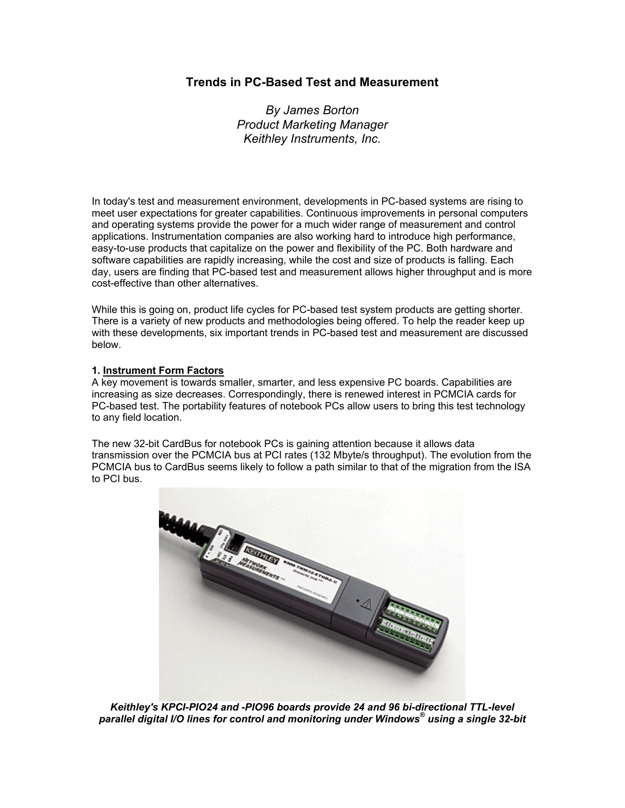# **Trends in PC-Based Test and Measurement**

*By James Borton Product Marketing Manager Keithley Instruments, Inc.*

In today's test and measurement environment, developments in PC-based systems are rising to meet user expectations for greater capabilities. Continuous improvements in personal computers and operating systems provide the power for a much wider range of measurement and control applications. Instrumentation companies are also working hard to introduce high performance, easy-to-use products that capitalize on the power and flexibility of the PC. Both hardware and software capabilities are rapidly increasing, while the cost and size of products is falling. Each day, users are finding that PC-based test and measurement allows higher throughput and is more cost-effective than other alternatives.

While this is going on, product life cycles for PC-based test system products are getting shorter. There is a variety of new products and methodologies being offered. To help the reader keep up with these developments, six important trends in PC-based test and measurement are discussed below.

## **1. Instrument Form Factors**

A key movement is towards smaller, smarter, and less expensive PC boards. Capabilities are increasing as size decreases. Correspondingly, there is renewed interest in PCMCIA cards for PC-based test. The portability features of notebook PCs allow users to bring this test technology to any field location.

The new 32-bit CardBus for notebook PCs is gaining attention because it allows data transmission over the PCMCIA bus at PCI rates (132 Mbyte/s throughput). The evolution from the PCMCIA bus to CardBus seems likely to follow a path similar to that of the migration from the ISA to PCI bus.



*Keithley's KPCI-PIO24 and -PIO96 boards provide 24 and 96 bi-directional TTL-level parallel digital I/O lines for control and monitoring under Windows® using a single 32-bit*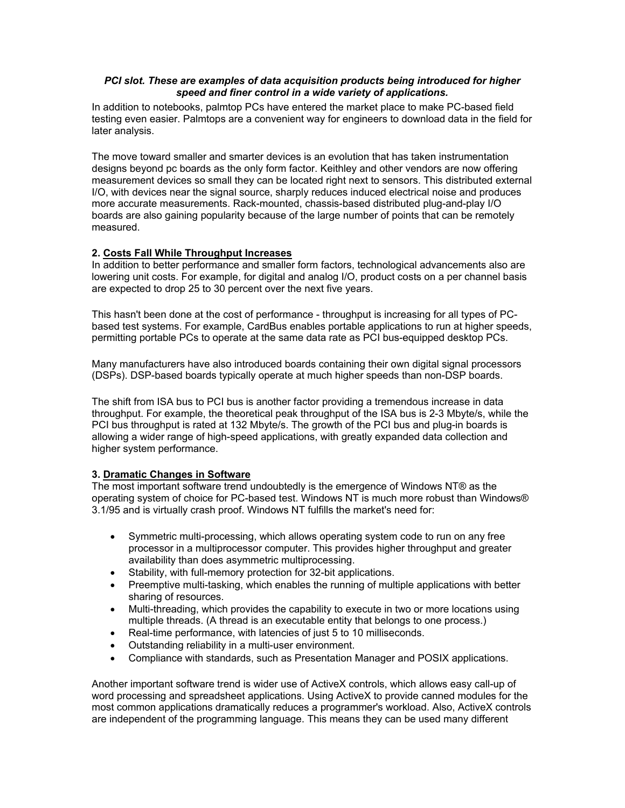# *PCI slot. These are examples of data acquisition products being introduced for higher speed and finer control in a wide variety of applications.*

In addition to notebooks, palmtop PCs have entered the market place to make PC-based field testing even easier. Palmtops are a convenient way for engineers to download data in the field for later analysis.

The move toward smaller and smarter devices is an evolution that has taken instrumentation designs beyond pc boards as the only form factor. Keithley and other vendors are now offering measurement devices so small they can be located right next to sensors. This distributed external I/O, with devices near the signal source, sharply reduces induced electrical noise and produces more accurate measurements. Rack-mounted, chassis-based distributed plug-and-play I/O boards are also gaining popularity because of the large number of points that can be remotely measured.

## **2. Costs Fall While Throughput Increases**

In addition to better performance and smaller form factors, technological advancements also are lowering unit costs. For example, for digital and analog I/O, product costs on a per channel basis are expected to drop 25 to 30 percent over the next five years.

This hasn't been done at the cost of performance - throughput is increasing for all types of PCbased test systems. For example, CardBus enables portable applications to run at higher speeds, permitting portable PCs to operate at the same data rate as PCI bus-equipped desktop PCs.

Many manufacturers have also introduced boards containing their own digital signal processors (DSPs). DSP-based boards typically operate at much higher speeds than non-DSP boards.

The shift from ISA bus to PCI bus is another factor providing a tremendous increase in data throughput. For example, the theoretical peak throughput of the ISA bus is 2-3 Mbyte/s, while the PCI bus throughput is rated at 132 Mbyte/s. The growth of the PCI bus and plug-in boards is allowing a wider range of high-speed applications, with greatly expanded data collection and higher system performance.

# **3. Dramatic Changes in Software**

The most important software trend undoubtedly is the emergence of Windows NT® as the operating system of choice for PC-based test. Windows NT is much more robust than Windows® 3.1/95 and is virtually crash proof. Windows NT fulfills the market's need for:

- Symmetric multi-processing, which allows operating system code to run on any free processor in a multiprocessor computer. This provides higher throughput and greater availability than does asymmetric multiprocessing.
- Stability, with full-memory protection for 32-bit applications.
- Preemptive multi-tasking, which enables the running of multiple applications with better sharing of resources.
- Multi-threading, which provides the capability to execute in two or more locations using multiple threads. (A thread is an executable entity that belongs to one process.)
- Real-time performance, with latencies of just 5 to 10 milliseconds.
- Outstanding reliability in a multi-user environment.
- Compliance with standards, such as Presentation Manager and POSIX applications.

Another important software trend is wider use of ActiveX controls, which allows easy call-up of word processing and spreadsheet applications. Using ActiveX to provide canned modules for the most common applications dramatically reduces a programmer's workload. Also, ActiveX controls are independent of the programming language. This means they can be used many different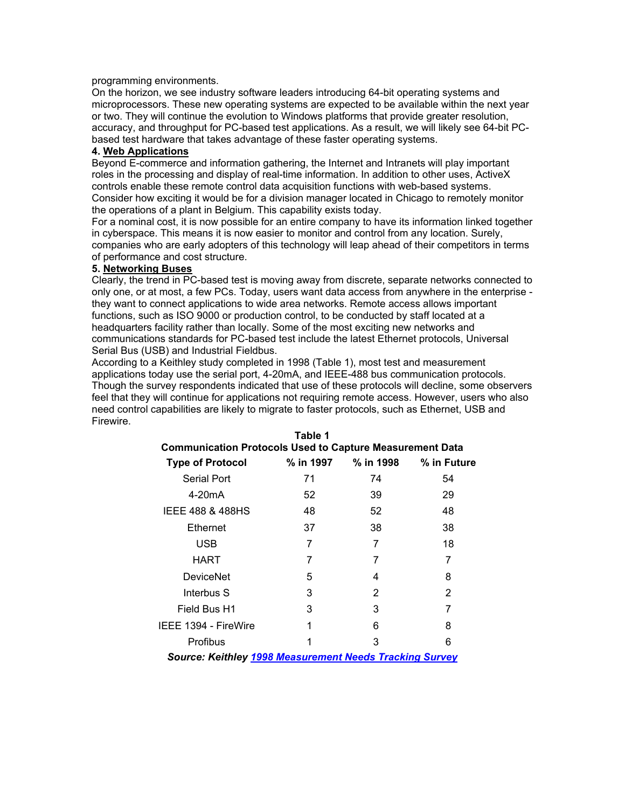programming environments.

On the horizon, we see industry software leaders introducing 64-bit operating systems and microprocessors. These new operating systems are expected to be available within the next year or two. They will continue the evolution to Windows platforms that provide greater resolution, accuracy, and throughput for PC-based test applications. As a result, we will likely see 64-bit PCbased test hardware that takes advantage of these faster operating systems.

# **4. Web Applications**

Beyond E-commerce and information gathering, the Internet and Intranets will play important roles in the processing and display of real-time information. In addition to other uses, ActiveX controls enable these remote control data acquisition functions with web-based systems. Consider how exciting it would be for a division manager located in Chicago to remotely monitor the operations of a plant in Belgium. This capability exists today.

For a nominal cost, it is now possible for an entire company to have its information linked together in cyberspace. This means it is now easier to monitor and control from any location. Surely, companies who are early adopters of this technology will leap ahead of their competitors in terms of performance and cost structure.

### **5. Networking Buses**

Clearly, the trend in PC-based test is moving away from discrete, separate networks connected to only one, or at most, a few PCs. Today, users want data access from anywhere in the enterprise they want to connect applications to wide area networks. Remote access allows important functions, such as ISO 9000 or production control, to be conducted by staff located at a headquarters facility rather than locally. Some of the most exciting new networks and communications standards for PC-based test include the latest Ethernet protocols, Universal Serial Bus (USB) and Industrial Fieldbus.

According to a Keithley study completed in 1998 (Table 1), most test and measurement applications today use the serial port, 4-20mA, and IEEE-488 bus communication protocols. Though the survey respondents indicated that use of these protocols will decline, some observers feel that they will continue for applications not requiring remote access. However, users who also need control capabilities are likely to migrate to faster protocols, such as Ethernet, USB and Firewire.

**Table 1** 

| rapie 1<br><b>Communication Protocols Used to Capture Measurement Data</b> |           |           |             |
|----------------------------------------------------------------------------|-----------|-----------|-------------|
| <b>Type of Protocol</b>                                                    | % in 1997 | % in 1998 | % in Future |
| Serial Port                                                                | 71        | 74        | 54          |
| 4-20mA                                                                     | 52        | 39        | 29          |
| <b>IEEE 488 &amp; 488HS</b>                                                | 48        | 52        | 48          |
| Ethernet                                                                   | 37        | 38        | 38          |
| <b>USB</b>                                                                 | 7         | 7         | 18          |
| <b>HART</b>                                                                | 7         | 7         | 7           |
| <b>DeviceNet</b>                                                           | 5         | 4         | 8           |
| Interbus S                                                                 | 3         | 2         | 2           |
| Field Bus H1                                                               | 3         | 3         | 7           |
| IEEE 1394 - FireWire                                                       | 1         | 6         | 8           |
| Profibus                                                                   |           | 3         | 6           |
| <b>Source: Keithley 1998 Measurement Needs Tracking Survey</b>             |           |           |             |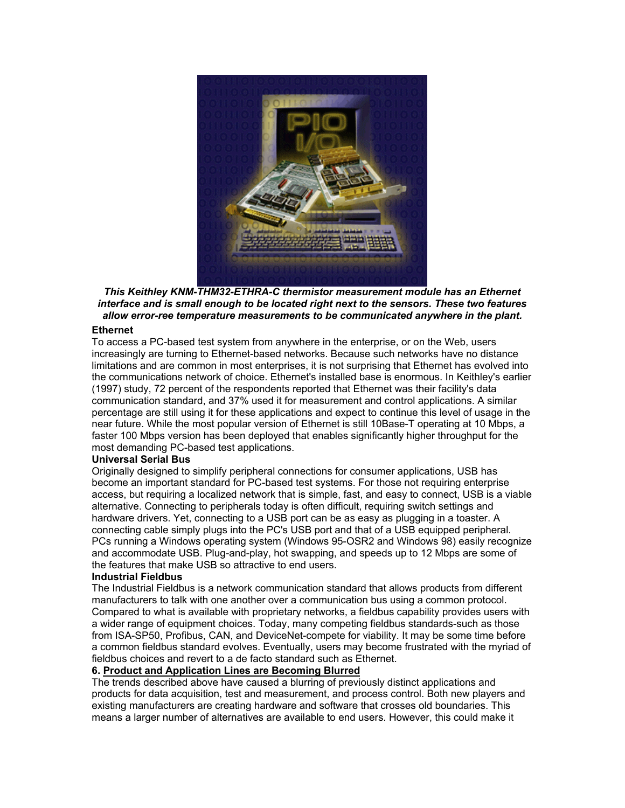

*This Keithley KNM-THM32-ETHRA-C thermistor measurement module has an Ethernet interface and is small enough to be located right next to the sensors. These two features allow error-ree temperature measurements to be communicated anywhere in the plant.*

#### **Ethernet**

To access a PC-based test system from anywhere in the enterprise, or on the Web, users increasingly are turning to Ethernet-based networks. Because such networks have no distance limitations and are common in most enterprises, it is not surprising that Ethernet has evolved into the communications network of choice. Ethernet's installed base is enormous. In Keithley's earlier (1997) study, 72 percent of the respondents reported that Ethernet was their facility's data communication standard, and 37% used it for measurement and control applications. A similar percentage are still using it for these applications and expect to continue this level of usage in the near future. While the most popular version of Ethernet is still 10Base-T operating at 10 Mbps, a faster 100 Mbps version has been deployed that enables significantly higher throughput for the most demanding PC-based test applications.

#### **Universal Serial Bus**

Originally designed to simplify peripheral connections for consumer applications, USB has become an important standard for PC-based test systems. For those not requiring enterprise access, but requiring a localized network that is simple, fast, and easy to connect, USB is a viable alternative. Connecting to peripherals today is often difficult, requiring switch settings and hardware drivers. Yet, connecting to a USB port can be as easy as plugging in a toaster. A connecting cable simply plugs into the PC's USB port and that of a USB equipped peripheral. PCs running a Windows operating system (Windows 95-OSR2 and Windows 98) easily recognize and accommodate USB. Plug-and-play, hot swapping, and speeds up to 12 Mbps are some of the features that make USB so attractive to end users.

#### **Industrial Fieldbus**

The Industrial Fieldbus is a network communication standard that allows products from different manufacturers to talk with one another over a communication bus using a common protocol. Compared to what is available with proprietary networks, a fieldbus capability provides users with a wider range of equipment choices. Today, many competing fieldbus standards-such as those from ISA-SP50, Profibus, CAN, and DeviceNet-compete for viability. It may be some time before a common fieldbus standard evolves. Eventually, users may become frustrated with the myriad of fieldbus choices and revert to a de facto standard such as Ethernet.

#### **6. Product and Application Lines are Becoming Blurred**

The trends described above have caused a blurring of previously distinct applications and products for data acquisition, test and measurement, and process control. Both new players and existing manufacturers are creating hardware and software that crosses old boundaries. This means a larger number of alternatives are available to end users. However, this could make it